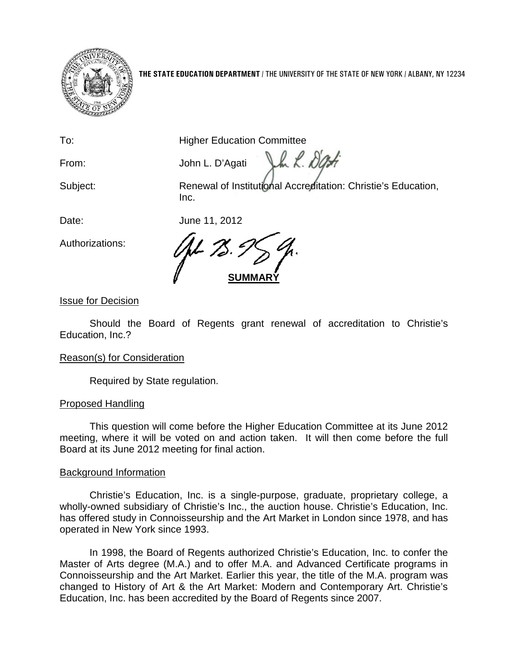

**THE STATE EDUCATION DEPARTMENT** / THE UNIVERSITY OF THE STATE OF NEW YORK / ALBANY, NY 12234

To: **Higher Education Committee** 

From: John L. D'Agati

Jh L. Dat

Subject: Renewal of Institutional Accreditation: Christie's Education, Inc.

Date: June 11, 2012

Authorizations:

SUMM/

Issue for Decision

Should the Board of Regents grant renewal of accreditation to Christie's Education, Inc.?

# Reason(s) for Consideration

Required by State regulation.

# Proposed Handling

This question will come before the Higher Education Committee at its June 2012 meeting, where it will be voted on and action taken. It will then come before the full Board at its June 2012 meeting for final action.

# Background Information

Christie's Education, Inc. is a single-purpose, graduate, proprietary college, a wholly-owned subsidiary of Christie's Inc., the auction house. Christie's Education, Inc. has offered study in Connoisseurship and the Art Market in London since 1978, and has operated in New York since 1993.

In 1998, the Board of Regents authorized Christie's Education, Inc. to confer the Master of Arts degree (M.A.) and to offer M.A. and Advanced Certificate programs in Connoisseurship and the Art Market. Earlier this year, the title of the M.A. program was changed to History of Art & the Art Market: Modern and Contemporary Art. Christie's Education, Inc. has been accredited by the Board of Regents since 2007.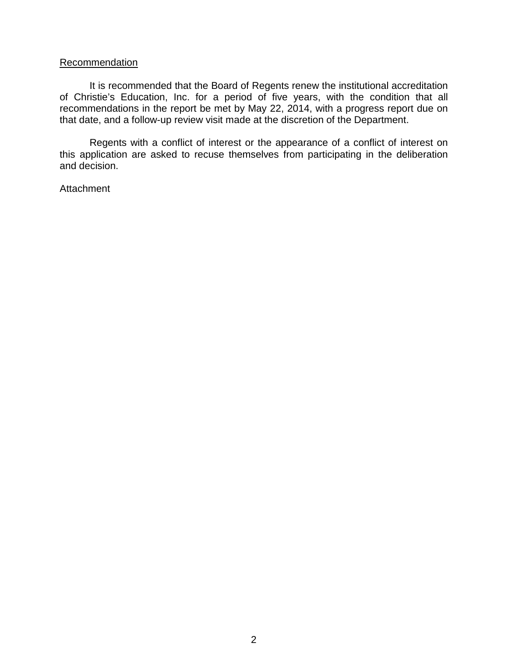### **Recommendation**

It is recommended that the Board of Regents renew the institutional accreditation of Christie's Education, Inc. for a period of five years, with the condition that all recommendations in the report be met by May 22, 2014, with a progress report due on that date, and a follow-up review visit made at the discretion of the Department.

Regents with a conflict of interest or the appearance of a conflict of interest on this application are asked to recuse themselves from participating in the deliberation and decision.

Attachment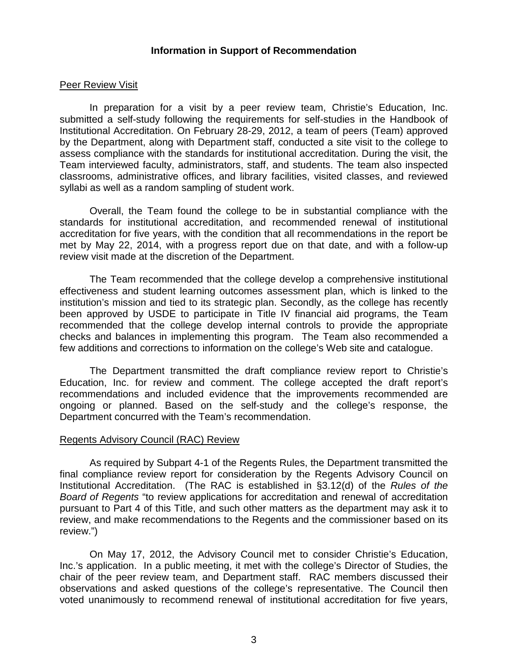### **Information in Support of Recommendation**

#### Peer Review Visit

In preparation for a visit by a peer review team, Christie's Education, Inc. submitted a self-study following the requirements for self-studies in the Handbook of Institutional Accreditation. On February 28-29, 2012, a team of peers (Team) approved by the Department, along with Department staff, conducted a site visit to the college to assess compliance with the standards for institutional accreditation. During the visit, the Team interviewed faculty, administrators, staff, and students. The team also inspected classrooms, administrative offices, and library facilities, visited classes, and reviewed syllabi as well as a random sampling of student work.

Overall, the Team found the college to be in substantial compliance with the standards for institutional accreditation, and recommended renewal of institutional accreditation for five years, with the condition that all recommendations in the report be met by May 22, 2014, with a progress report due on that date, and with a follow-up review visit made at the discretion of the Department.

The Team recommended that the college develop a comprehensive institutional effectiveness and student learning outcomes assessment plan, which is linked to the institution's mission and tied to its strategic plan. Secondly, as the college has recently been approved by USDE to participate in Title IV financial aid programs, the Team recommended that the college develop internal controls to provide the appropriate checks and balances in implementing this program. The Team also recommended a few additions and corrections to information on the college's Web site and catalogue.

The Department transmitted the draft compliance review report to Christie's Education, Inc. for review and comment. The college accepted the draft report's recommendations and included evidence that the improvements recommended are ongoing or planned. Based on the self-study and the college's response, the Department concurred with the Team's recommendation.

#### Regents Advisory Council (RAC) Review

As required by Subpart 4-1 of the Regents Rules, the Department transmitted the final compliance review report for consideration by the Regents Advisory Council on Institutional Accreditation. (The RAC is established in §3.12(d) of the *Rules of the Board of Regents* "to review applications for accreditation and renewal of accreditation pursuant to Part 4 of this Title, and such other matters as the department may ask it to review, and make recommendations to the Regents and the commissioner based on its review.")

On May 17, 2012, the Advisory Council met to consider Christie's Education, Inc.'s application. In a public meeting, it met with the college's Director of Studies, the chair of the peer review team, and Department staff. RAC members discussed their observations and asked questions of the college's representative. The Council then voted unanimously to recommend renewal of institutional accreditation for five years,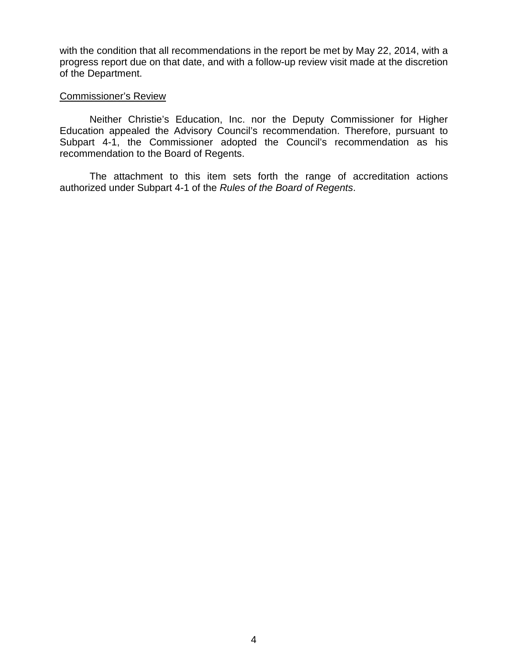with the condition that all recommendations in the report be met by May 22, 2014, with a progress report due on that date, and with a follow-up review visit made at the discretion of the Department.

#### Commissioner's Review

Neither Christie's Education, Inc. nor the Deputy Commissioner for Higher Education appealed the Advisory Council's recommendation. Therefore, pursuant to Subpart 4-1, the Commissioner adopted the Council's recommendation as his recommendation to the Board of Regents.

The attachment to this item sets forth the range of accreditation actions authorized under Subpart 4-1 of the *Rules of the Board of Regents*.